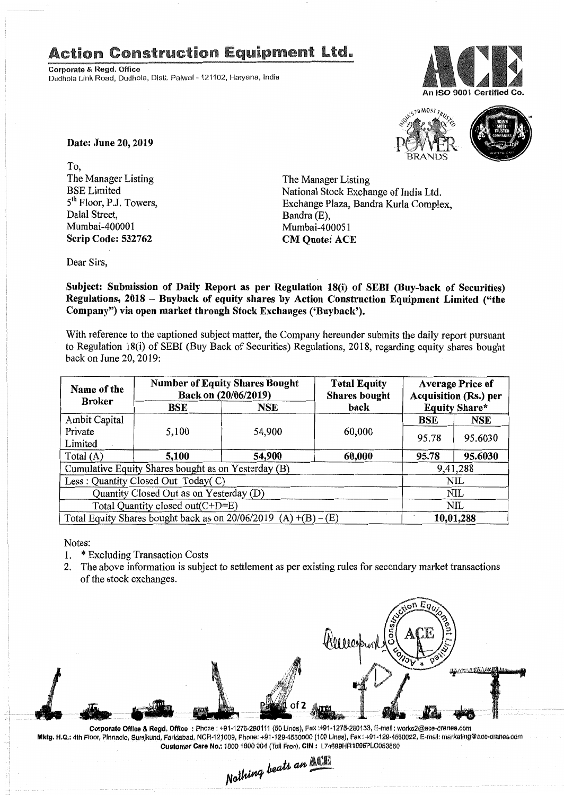## **Action Construction Equipment Ltd.**

Corporate & Regd. Office Dudhola Link Road, Dudhola, Distt. Palwal - 121102, Haryana, India





Date: June 20, 2019

To, The Manager Listing BSE Limited 5<sup>th</sup> Floor, P.J. Towers, Dalal Street, Mumbai-400001 Scrip Code: 532762

The Manager Listing National Stock Exchange of India Ltd. Exchange Plaza, Bandra Kurla Complex, Bandra (E) Mumbai-400051 CM Quote: ACE

Dear Sirs,

Subject: Submission of Daily Report as per Regulation 18(i) of SEBI (Buy-back of Securities) Regulations, 2018 - Buyback of equity shares by Action Construction Equipment Limited ("the Company") via open market through Stock Exchanges ('Buyback').

With reference to the captioned subject matter, the Company hereunder submits the daily report pursuant to Regulation 18(i) of SEBI (Buy Back of Securities) Regulations, 2018, regarding equity shares bought back on June 20, 2019:

| Name of the<br><b>Broker</b>                                      | <b>Number of Equity Shares Bought</b><br>Back on (20/06/2019) |        | <b>Total Equity</b><br><b>Shares bought</b> | <b>Average Price of</b><br><b>Acquisition (Rs.) per</b> |          |  |
|-------------------------------------------------------------------|---------------------------------------------------------------|--------|---------------------------------------------|---------------------------------------------------------|----------|--|
|                                                                   | <b>BSE</b>                                                    | NSE    | back                                        | <b>Equity Share*</b>                                    |          |  |
| Ambit Capital                                                     |                                                               |        |                                             | <b>BSE</b>                                              | NSE      |  |
| Private                                                           | 5,100                                                         | 54,900 | 60,000                                      | 95.78                                                   | 95.6030  |  |
| Limited                                                           |                                                               |        |                                             |                                                         |          |  |
| Total $(A)$                                                       | 5,100                                                         | 54,900 | 60,000                                      | 95.78                                                   | 95.6030  |  |
| Cumulative Equity Shares bought as on Yesterday (B)               |                                                               |        |                                             |                                                         | 9,41,288 |  |
| Less: Quantity Closed Out Today(C)                                |                                                               |        |                                             | NIL                                                     |          |  |
| Quantity Closed Out as on Yesterday (D)                           |                                                               |        |                                             | NIL                                                     |          |  |
| Total Quantity closed out(C+D=E)                                  |                                                               |        |                                             | NIL                                                     |          |  |
| Total Equity Shares bought back as on $20/06/2019$ (A) +(B) – (E) |                                                               |        |                                             | 10,01,288                                               |          |  |

Notes:

- 1. \* Excluding Transaction Costs
- 2. The above information is subject to settlement as per existing rules for secondary market transactions of the stock exchanges.



Corporate Office & Regd. Office: Phone: +91-1275-280111 (50 Lines), Fax: +91-1275-280133, E-mail: works2@ace-oranes.com Mktg. H.Q.: 4th Floor, Pinnacle, Surajkund, Faridabad, NCR-121009, Phone: +91-129-4550000 (100 Lines), Fax: +91-129-4550022. E-mail: marketing@ace-cranes.com **Customer Care No.: 1800 1800 004 (Toll Free), CIN: L74899HR1995PLC053860** 

 $\mathcal{I}$ *h*  $\alpha$ <sup>*MCIE*</sup> *jl ..l~ lJIUW6 <sup>~</sup> NOM""" - ,*